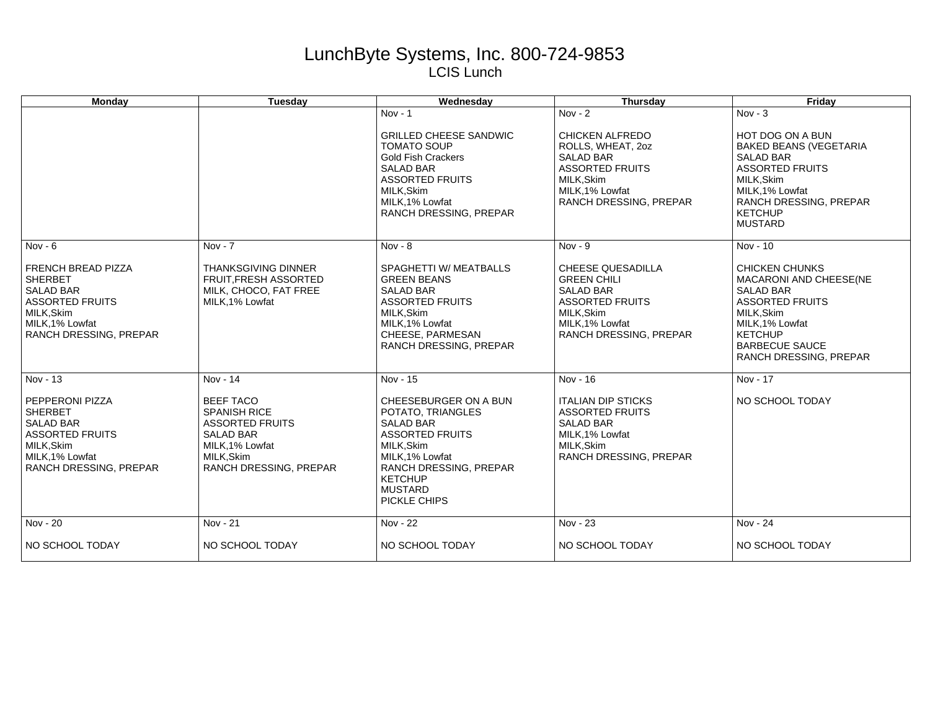## LunchByte Systems, Inc. 800-724-9853 LCIS Lunch

| Monday                                                                                                                                                                   | <b>Tuesday</b>                                                                                                                                               | Wednesday                                                                                                                                                                                                           | Thursday                                                                                                                                                             | Friday                                                                                                                                                                                                          |
|--------------------------------------------------------------------------------------------------------------------------------------------------------------------------|--------------------------------------------------------------------------------------------------------------------------------------------------------------|---------------------------------------------------------------------------------------------------------------------------------------------------------------------------------------------------------------------|----------------------------------------------------------------------------------------------------------------------------------------------------------------------|-----------------------------------------------------------------------------------------------------------------------------------------------------------------------------------------------------------------|
|                                                                                                                                                                          |                                                                                                                                                              | $Nov - 1$<br><b>GRILLED CHEESE SANDWIC</b><br><b>TOMATO SOUP</b><br><b>Gold Fish Crackers</b><br><b>SALAD BAR</b><br><b>ASSORTED FRUITS</b><br>MILK, Skim<br>MILK, 1% Lowfat<br>RANCH DRESSING, PREPAR              | Nov - $2$<br><b>CHICKEN ALFREDO</b><br>ROLLS, WHEAT, 20Z<br><b>SALAD BAR</b><br><b>ASSORTED FRUITS</b><br>MILK, Skim<br>MILK.1% Lowfat<br>RANCH DRESSING, PREPAR     | $Nov - 3$<br>HOT DOG ON A BUN<br><b>BAKED BEANS (VEGETARIA</b><br><b>SALAD BAR</b><br><b>ASSORTED FRUITS</b><br>MILK, Skim<br>MILK.1% Lowfat<br>RANCH DRESSING, PREPAR<br><b>KETCHUP</b><br><b>MUSTARD</b>      |
| Nov - $6$<br><b>FRENCH BREAD PIZZA</b><br><b>SHERBET</b><br><b>SALAD BAR</b><br><b>ASSORTED FRUITS</b><br>MILK, Skim<br>MILK, 1% Lowfat<br><b>RANCH DRESSING, PREPAR</b> | $Nov - 7$<br><b>THANKSGIVING DINNER</b><br><b>FRUIT.FRESH ASSORTED</b><br>MILK, CHOCO, FAT FREE<br>MILK, 1% Lowfat                                           | Nov - $8$<br>SPAGHETTI W/ MEATBALLS<br><b>GREEN BEANS</b><br><b>SALAD BAR</b><br><b>ASSORTED FRUITS</b><br>MILK, Skim<br>MILK, 1% Lowfat<br>CHEESE, PARMESAN<br>RANCH DRESSING, PREPAR                              | $Nov - 9$<br><b>CHEESE QUESADILLA</b><br><b>GREEN CHILI</b><br><b>SALAD BAR</b><br><b>ASSORTED FRUITS</b><br>MILK, Skim<br>MILK, 1% Lowfat<br>RANCH DRESSING, PREPAR | Nov - 10<br><b>CHICKEN CHUNKS</b><br>MACARONI AND CHEESE(NE<br><b>SALAD BAR</b><br><b>ASSORTED FRUITS</b><br>MILK, Skim<br>MILK, 1% Lowfat<br><b>KETCHUP</b><br><b>BARBECUE SAUCE</b><br>RANCH DRESSING, PREPAR |
| Nov - 13<br>PEPPERONI PIZZA<br><b>SHERBET</b><br><b>SALAD BAR</b><br><b>ASSORTED FRUITS</b><br>MILK, Skim<br>MILK, 1% Lowfat<br>RANCH DRESSING, PREPAR                   | Nov - 14<br><b>BEEF TACO</b><br><b>SPANISH RICE</b><br><b>ASSORTED FRUITS</b><br><b>SALAD BAR</b><br>MILK, 1% Lowfat<br>MILK, Skim<br>RANCH DRESSING, PREPAR | Nov - 15<br>CHEESEBURGER ON A BUN<br>POTATO, TRIANGLES<br><b>SALAD BAR</b><br><b>ASSORTED FRUITS</b><br>MILK, Skim<br>MILK, 1% Lowfat<br>RANCH DRESSING, PREPAR<br><b>KETCHUP</b><br><b>MUSTARD</b><br>PICKLE CHIPS | Nov - 16<br><b>ITALIAN DIP STICKS</b><br><b>ASSORTED FRUITS</b><br><b>SALAD BAR</b><br>MILK, 1% Lowfat<br>MILK.Skim<br>RANCH DRESSING, PREPAR                        | Nov - 17<br>NO SCHOOL TODAY                                                                                                                                                                                     |
| Nov - 20<br>NO SCHOOL TODAY                                                                                                                                              | Nov - 21<br>NO SCHOOL TODAY                                                                                                                                  | Nov - 22<br>NO SCHOOL TODAY                                                                                                                                                                                         | Nov - 23<br>NO SCHOOL TODAY                                                                                                                                          | Nov - 24<br>NO SCHOOL TODAY                                                                                                                                                                                     |